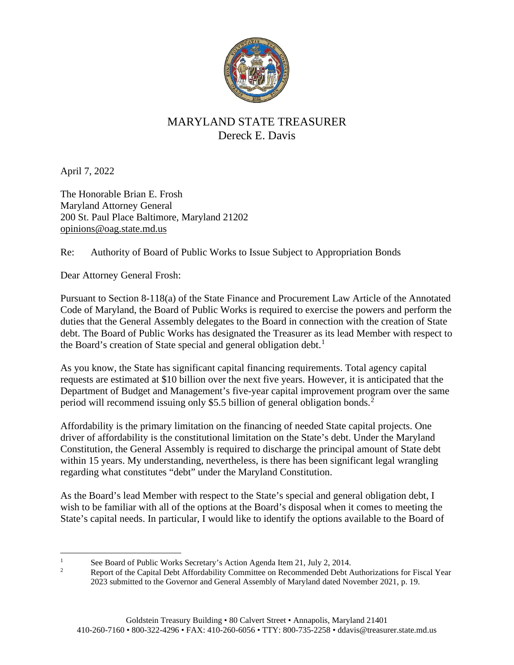

## MARYLAND STATE TREASURER Dereck E. Davis

April 7, 2022

The Honorable Brian E. Frosh Maryland Attorney General 200 St. Paul Place Baltimore, Maryland 21202 [opinions@oag.state.md.us](mailto:opinions@oag.state.md.us)

Re: Authority of Board of Public Works to Issue Subject to Appropriation Bonds

Dear Attorney General Frosh:

Pursuant to Section 8-118(a) of the State Finance and Procurement Law Article of the Annotated Code of Maryland, the Board of Public Works is required to exercise the powers and perform the duties that the General Assembly delegates to the Board in connection with the creation of State debt. The Board of Public Works has designated the Treasurer as its lead Member with respect to the Board's creation of State special and general obligation debt.<sup>[1](#page-0-0)</sup>

As you know, the State has significant capital financing requirements. Total agency capital requests are estimated at \$10 billion over the next five years. However, it is anticipated that the Department of Budget and Management's five-year capital improvement program over the same period will recommend issuing only \$5.5 billion of general obligation bonds.[2](#page-0-1)

Affordability is the primary limitation on the financing of needed State capital projects. One driver of affordability is the constitutional limitation on the State's debt. Under the Maryland Constitution, the General Assembly is required to discharge the principal amount of State debt within 15 years. My understanding, nevertheless, is there has been significant legal wrangling regarding what constitutes "debt" under the Maryland Constitution.

As the Board's lead Member with respect to the State's special and general obligation debt, I wish to be familiar with all of the options at the Board's disposal when it comes to meeting the State's capital needs. In particular, I would like to identify the options available to the Board of

<span id="page-0-1"></span><span id="page-0-0"></span><sup>&</sup>lt;sup>1</sup> See Board of Public Works Secretary's Action Agenda Item 21, July 2, 2014.

<sup>2</sup> Report of the Capital Debt Affordability Committee on Recommended Debt Authorizations for Fiscal Year 2023 submitted to the Governor and General Assembly of Maryland dated November 2021, p. 19.